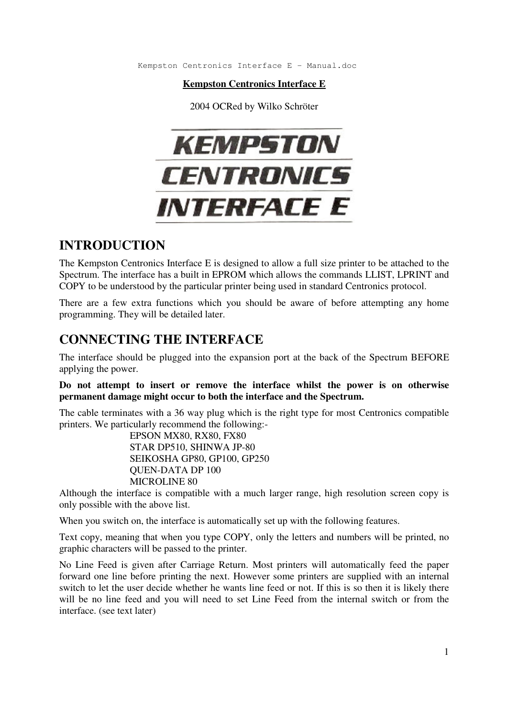Kempston Centronics Interface E - Manual.doc

**Kempston Centronics Interface E**

2004 OCRed by Wilko Schröter



### **INTRODUCTION**

The Kempston Centronics Interface E is designed to allow a full size printer to be attached to the Spectrum. The interface has a built in EPROM which allows the commands LLIST, LPRINT and COPY to be understood by the particular printer being used in standard Centronics protocol.

There are a few extra functions which you should be aware of before attempting any home programming. They will be detailed later.

# **CONNECTING THE INTERFACE**

The interface should be plugged into the expansion port at the back of the Spectrum BEFORE applying the power.

**Do not attempt to insert or remove the interface whilst the power is on otherwise permanent damage might occur to both the interface and the Spectrum.** 

The cable terminates with a 36 way plug which is the right type for most Centronics compatible printers. We particularly recommend the following:-

 EPSON MX80, RX80, FX80 STAR DP510, SHINWA JP-80 SEIKOSHA GP80, GP100, GP250 QUEN-DATA DP 100 MICROLINE 80

Although the interface is compatible with a much larger range, high resolution screen copy is only possible with the above list.

When you switch on, the interface is automatically set up with the following features.

Text copy, meaning that when you type COPY, only the letters and numbers will be printed, no graphic characters will be passed to the printer.

No Line Feed is given after Carriage Return. Most printers will automatically feed the paper forward one line before printing the next. However some printers are supplied with an internal switch to let the user decide whether he wants line feed or not. If this is so then it is likely there will be no line feed and you will need to set Line Feed from the internal switch or from the interface. (see text later)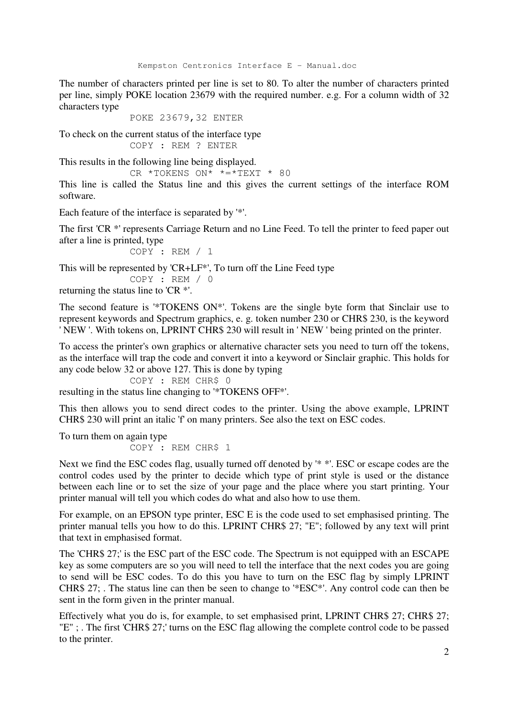The number of characters printed per line is set to 80. To alter the number of characters printed per line, simply POKE location 23679 with the required number. e.g. For a column width of 32 characters type

POKE 23679,32 ENTER

To check on the current status of the interface type COPY : REM ? ENTER

This results in the following line being displayed.

CR \*TOKENS ON\* \*=\*TEXT \* 80

This line is called the Status line and this gives the current settings of the interface ROM software.

Each feature of the interface is separated by '\*'.

The first 'CR \*' represents Carriage Return and no Line Feed. To tell the printer to feed paper out after a line is printed, type

COPY : REM / 1

This will be represented by 'CR+LF\*', To turn off the Line Feed type

COPY : REM / 0

returning the status line to 'CR \*'.

The second feature is '\*TOKENS ON\*'. Tokens are the single byte form that Sinclair use to represent keywords and Spectrum graphics, e. g. token number 230 or CHR\$ 230, is the keyword ' NEW '. With tokens on, LPRINT CHR\$ 230 will result in ' NEW ' being printed on the printer.

To access the printer's own graphics or alternative character sets you need to turn off the tokens, as the interface will trap the code and convert it into a keyword or Sinclair graphic. This holds for any code below 32 or above 127. This is done by typing

COPY : REM CHR\$ 0 resulting in the status line changing to '\*TOKENS OFF\*'.

This then allows you to send direct codes to the printer. Using the above example, LPRINT CHR\$ 230 will print an italic 'f' on many printers. See also the text on ESC codes.

To turn them on again type COPY : REM CHR\$ 1

Next we find the ESC codes flag, usually turned off denoted by '\* \*'. ESC or escape codes are the control codes used by the printer to decide which type of print style is used or the distance between each line or to set the size of your page and the place where you start printing. Your printer manual will tell you which codes do what and also how to use them.

For example, on an EPSON type printer, ESC E is the code used to set emphasised printing. The printer manual tells you how to do this. LPRINT CHR\$ 27; "E"; followed by any text will print that text in emphasised format.

The 'CHR\$ 27;' is the ESC part of the ESC code. The Spectrum is not equipped with an ESCAPE key as some computers are so you will need to tell the interface that the next codes you are going to send will be ESC codes. To do this you have to turn on the ESC flag by simply LPRINT CHR\$ 27; . The status line can then be seen to change to '\*ESC\*'. Any control code can then be sent in the form given in the printer manual.

Effectively what you do is, for example, to set emphasised print, LPRINT CHR\$ 27; CHR\$ 27; "E" ; . The first 'CHR\$ 27;' turns on the ESC flag allowing the complete control code to be passed to the printer.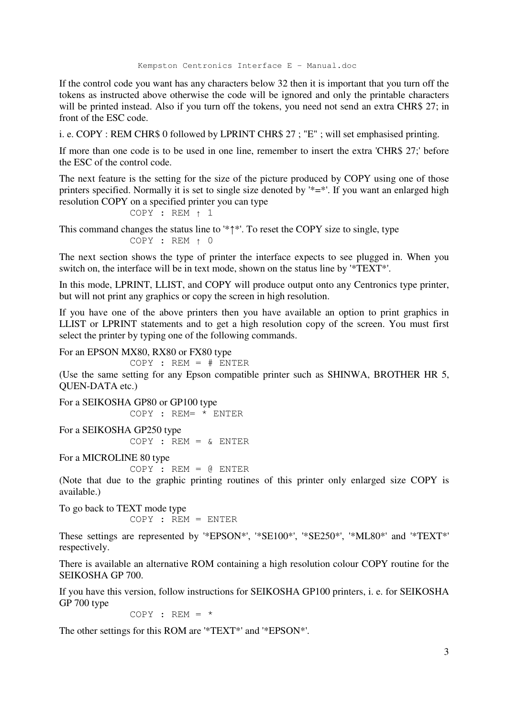Kempston Centronics Interface E - Manual.doc

If the control code you want has any characters below 32 then it is important that you turn off the tokens as instructed above otherwise the code will be ignored and only the printable characters will be printed instead. Also if you turn off the tokens, you need not send an extra CHR\$ 27; in front of the ESC code.

i. e. COPY : REM CHR\$ 0 followed by LPRINT CHR\$ 27 ; "E" ; will set emphasised printing.

If more than one code is to be used in one line, remember to insert the extra 'CHR\$ 27;' before the ESC of the control code.

The next feature is the setting for the size of the picture produced by COPY using one of those printers specified. Normally it is set to single size denoted by '\*=\*'. If you want an enlarged high resolution COPY on a specified printer you can type

 $COPY$  : REM  $\uparrow$  1

This command changes the status line to  $*\uparrow*'$ . To reset the COPY size to single, type  $COPY$  : REM  $\uparrow$  0

The next section shows the type of printer the interface expects to see plugged in. When you switch on, the interface will be in text mode, shown on the status line by '\*TEXT\*'.

In this mode, LPRINT, LLIST, and COPY will produce output onto any Centronics type printer, but will not print any graphics or copy the screen in high resolution.

If you have one of the above printers then you have available an option to print graphics in LLIST or LPRINT statements and to get a high resolution copy of the screen. You must first select the printer by typing one of the following commands.

For an EPSON MX80, RX80 or FX80 type

 $COPY$  : REM = # ENTER

(Use the same setting for any Epson compatible printer such as SHINWA, BROTHER HR 5, QUEN-DATA etc.)

For a SEIKOSHA GP80 or GP100 type COPY : REM= \* ENTER For a SEIKOSHA GP250 type  $COPY$  : REM = & ENTER

For a MICROLINE 80 type

```
COPY : REM = @ ENTER
```
(Note that due to the graphic printing routines of this printer only enlarged size COPY is available.)

To go back to TEXT mode type COPY : REM = ENTER

These settings are represented by '\*EPSON\*', '\*SE100\*', '\*SE250\*', '\*ML80\*' and '\*TEXT\*' respectively.

There is available an alternative ROM containing a high resolution colour COPY routine for the SEIKOSHA GP 700.

If you have this version, follow instructions for SEIKOSHA GP100 printers, i. e. for SEIKOSHA GP 700 type

 $COPY$  : REM = \*

The other settings for this ROM are '\*TEXT\*' and '\*EPSON\*'.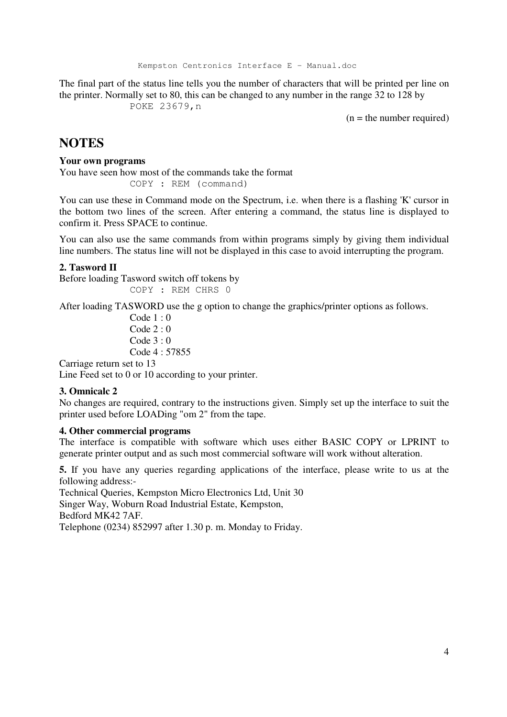Kempston Centronics Interface E - Manual.doc

The final part of the status line tells you the number of characters that will be printed per line on the printer. Normally set to 80, this can be changed to any number in the range 32 to 128 by POKE 23679,n

 $(n = the number required)$ 

## **NOTES**

#### **Your own programs**

You have seen how most of the commands take the format COPY : REM (command)

You can use these in Command mode on the Spectrum, i.e. when there is a flashing 'K' cursor in the bottom two lines of the screen. After entering a command, the status line is displayed to confirm it. Press SPACE to continue.

You can also use the same commands from within programs simply by giving them individual line numbers. The status line will not be displayed in this case to avoid interrupting the program.

#### **2. Tasword II**

Before loading Tasword switch off tokens by COPY : REM CHRS 0

After loading TASWORD use the g option to change the graphics/printer options as follows.

 Code 1 : 0 Code 2 : 0 Code 3 : 0 Code 4 : 57855

Carriage return set to 13

Line Feed set to 0 or 10 according to your printer.

### **3. Omnicalc 2**

No changes are required, contrary to the instructions given. Simply set up the interface to suit the printer used before LOADing "om 2" from the tape.

#### **4. Other commercial programs**

The interface is compatible with software which uses either BASIC COPY or LPRINT to generate printer output and as such most commercial software will work without alteration.

**5.** If you have any queries regarding applications of the interface, please write to us at the following address:-

Technical Queries, Kempston Micro Electronics Ltd, Unit 30 Singer Way, Woburn Road Industrial Estate, Kempston, Bedford MK42 7AF.

Telephone (0234) 852997 after 1.30 p. m. Monday to Friday.